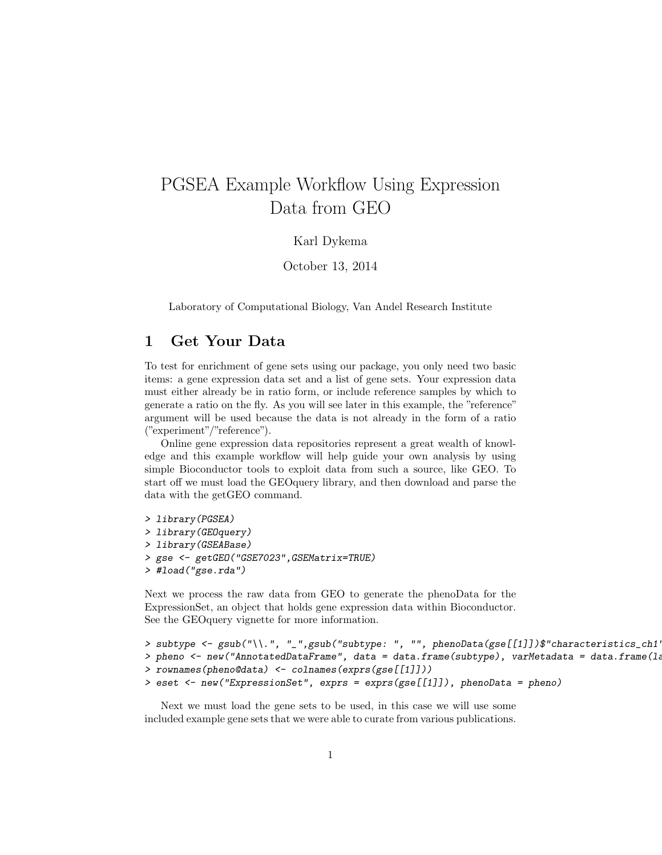# PGSEA Example Workflow Using Expression Data from GEO

#### Karl Dykema

October 13, 2014

Laboratory of Computational Biology, Van Andel Research Institute

#### 1 Get Your Data

To test for enrichment of gene sets using our package, you only need two basic items: a gene expression data set and a list of gene sets. Your expression data must either already be in ratio form, or include reference samples by which to generate a ratio on the fly. As you will see later in this example, the "reference" argument will be used because the data is not already in the form of a ratio ("experiment"/"reference").

Online gene expression data repositories represent a great wealth of knowledge and this example workflow will help guide your own analysis by using simple Bioconductor tools to exploit data from such a source, like GEO. To start off we must load the GEOquery library, and then download and parse the data with the getGEO command.

> library(PGSEA) > library(GEOquery) > library(GSEABase) > gse <- getGEO("GSE7023",GSEMatrix=TRUE) > #load("gse.rda")

Next we process the raw data from GEO to generate the phenoData for the ExpressionSet, an object that holds gene expression data within Bioconductor. See the GEOquery vignette for more information.

```
> subtype <- gsub("\\.", "_",gsub("subtype: ", "", phenoData(gse[[1]])$"characteristics_ch1'
> pheno <- new("AnnotatedDataFrame", data = data.frame(subtype), varMetadata = data.frame(1a
> rownames(pheno@data) <- colnames(exprs(gse[[1]]))
> eset <- new("ExpressionSet", exprs = exprs(gse[[1]]), phenoData = pheno)
```
Next we must load the gene sets to be used, in this case we will use some included example gene sets that we were able to curate from various publications.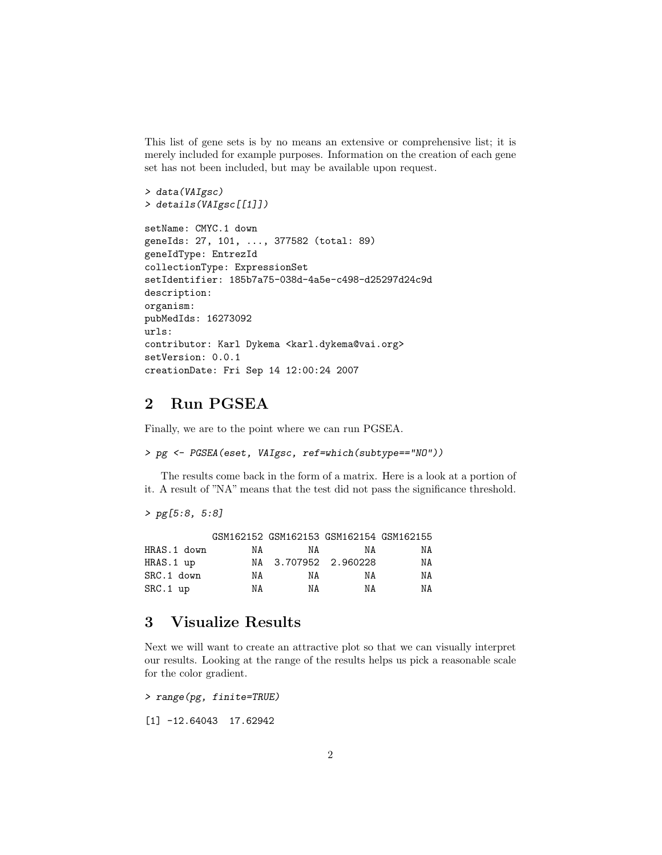This list of gene sets is by no means an extensive or comprehensive list; it is merely included for example purposes. Information on the creation of each gene set has not been included, but may be available upon request.

```
> data(VAIgsc)
> details(VAIgsc[[1]])
setName: CMYC.1 down
geneIds: 27, 101, ..., 377582 (total: 89)
geneIdType: EntrezId
collectionType: ExpressionSet
setIdentifier: 185b7a75-038d-4a5e-c498-d25297d24c9d
description:
organism:
pubMedIds: 16273092
urls:
contributor: Karl Dykema <karl.dykema@vai.org>
setVersion: 0.0.1
creationDate: Fri Sep 14 12:00:24 2007
```
### 2 Run PGSEA

Finally, we are to the point where we can run PGSEA.

> pg <- PGSEA(eset, VAIgsc, ref=which(subtype=="NO"))

The results come back in the form of a matrix. Here is a look at a portion of it. A result of "NA" means that the test did not pass the significance threshold.

```
> pg[5:8, 5:8]
```

|             |    | GSM162152 GSM162153 GSM162154 GSM162155 |    |    |
|-------------|----|-----------------------------------------|----|----|
| HRAS.1 down | NA | NA                                      | NA | NA |
| HRAS.1 up   |    | NA 3.707952 2.960228                    |    | NA |
| SRC.1 down  | ΝA | NA                                      | ΝA | ΝA |
| $SRC.1$ up  | ΝA | ΝA                                      | ΝA | ΝA |

## 3 Visualize Results

Next we will want to create an attractive plot so that we can visually interpret our results. Looking at the range of the results helps us pick a reasonable scale for the color gradient.

> range(pg, finite=TRUE)

[1] -12.64043 17.62942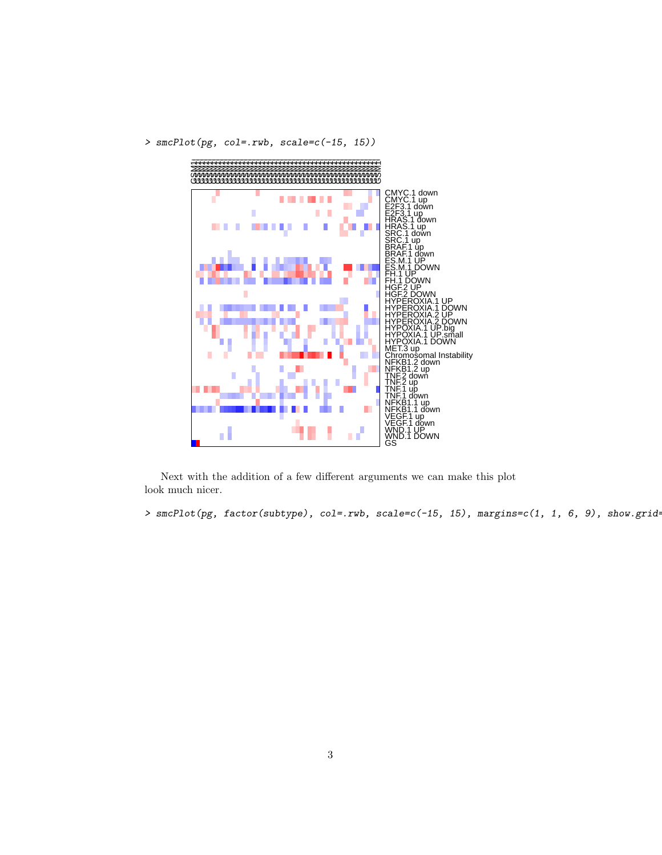



Next with the addition of a few different arguments we can make this plot look much nicer.

 $>$  smcPlot(pg, factor(subtype), col=.rwb, scale=c(-15, 15), margins=c(1, 1, 6, 9), show.grid=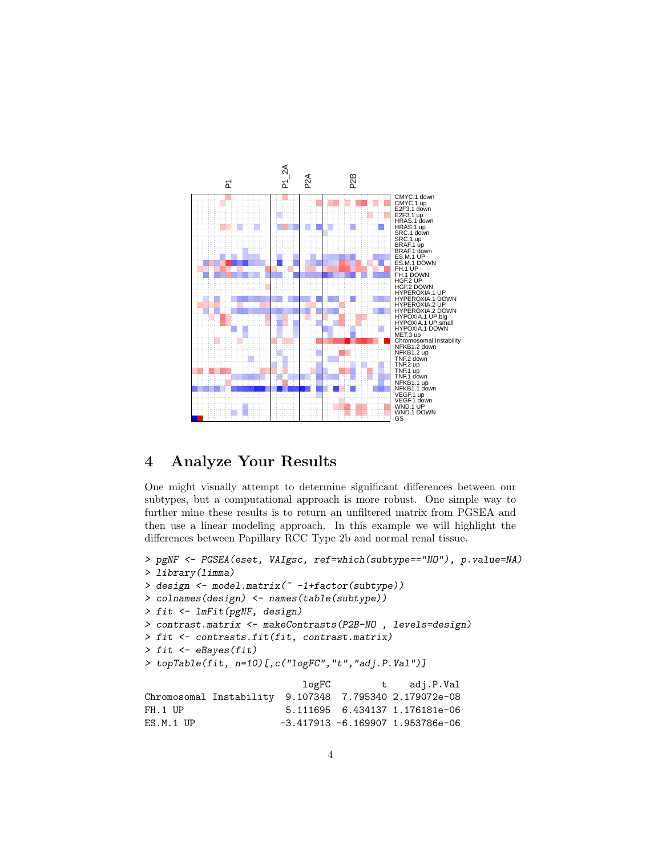

### 4 Analyze Your Results

One might visually attempt to determine significant differences between our subtypes, but a computational approach is more robust. One simple way to further mine these results is to return an unfiltered matrix from PGSEA and then use a linear modeling approach. In this example we will highlight the differences between Papillary RCC Type 2b and normal renal tissue.

```
> pgNF <- PGSEA(eset, VAIgsc, ref=which(subtype=="NO"), p.value=NA)
> library(limma)
> design <- model.matrix(~ -1+factor(subtype))
> colnames(design) <- names(table(subtype))
> fit <- lmFit(pgNF, design)
> contrast.matrix <- makeContrasts(P2B-NO , levels=design)
> fit <- contrasts.fit(fit, contrast.matrix)
> fit < -eBayes(fit)> topTable(fit, n=10)[,c("logFC","t","adj.P.Val")]
                          logFC t adj.P.Val
Chromosomal Instability 9.107348 7.795340 2.179072e-08
FH.1 UP 5.111695 6.434137 1.176181e-06
ES.M.1 UP -3.417913 -6.169907 1.953786e-06
```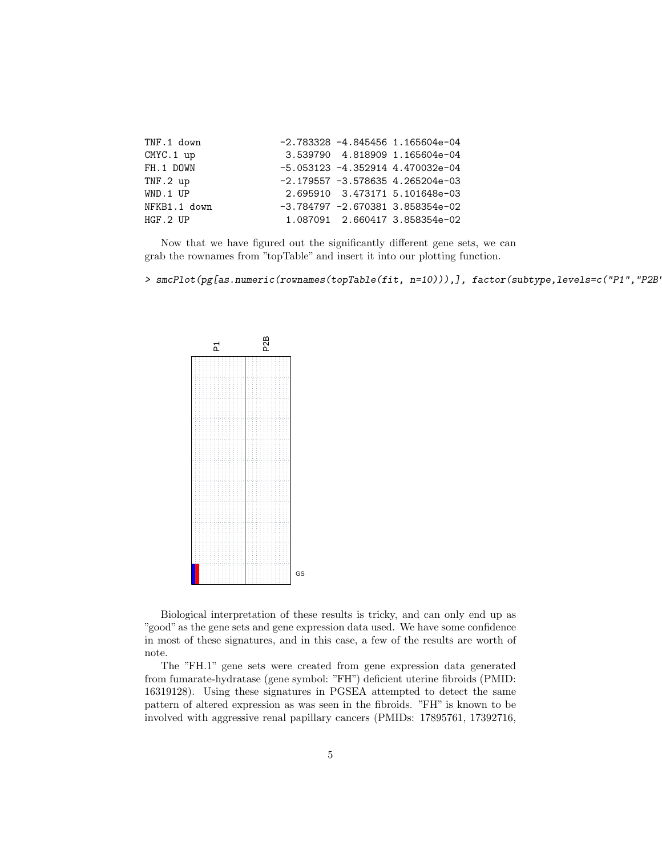| TNF.1 down   |  | $-2.783328 -4.845456$ 1.165604e-04  |
|--------------|--|-------------------------------------|
| CMYC.1 up    |  | 3.539790 4.818909 1.165604e-04      |
| FH.1 DOWN    |  | $-5.053123 -4.352914$ 4.470032e-04  |
| $TNF.2$ up   |  | $-2.179557 - 3.578635$ 4.265204e-03 |
| WND.1 UP     |  | 2.695910 3.473171 5.101648e-03      |
| NFKB1.1 down |  | $-3.784797 -2.670381$ 3.858354e-02  |
| HGF.2 UP     |  | 1.087091 2.660417 3.858354e-02      |

Now that we have figured out the significantly different gene sets, we can grab the rownames from "topTable" and insert it into our plotting function.

> smcPlot(pg[as.numeric(rownames(topTable(fit, n=10))),], factor(subtype,levels=c("P1","P2B'



Biological interpretation of these results is tricky, and can only end up as "good" as the gene sets and gene expression data used. We have some confidence in most of these signatures, and in this case, a few of the results are worth of note.

The "FH.1" gene sets were created from gene expression data generated from fumarate-hydratase (gene symbol: "FH") deficient uterine fibroids (PMID: 16319128). Using these signatures in PGSEA attempted to detect the same pattern of altered expression as was seen in the fibroids. "FH" is known to be involved with aggressive renal papillary cancers (PMIDs: 17895761, 17392716,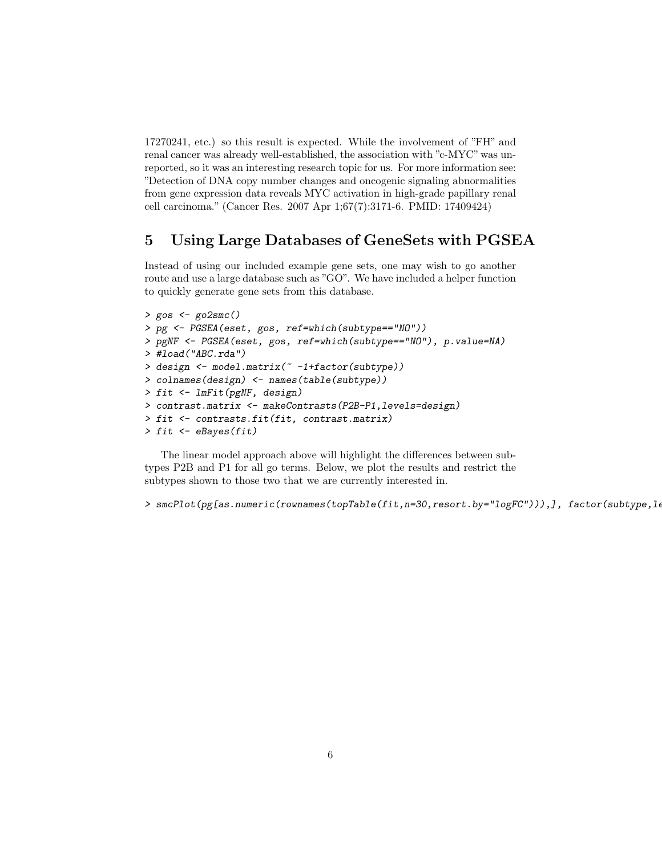17270241, etc.) so this result is expected. While the involvement of "FH" and renal cancer was already well-established, the association with "c-MYC" was unreported, so it was an interesting research topic for us. For more information see: "Detection of DNA copy number changes and oncogenic signaling abnormalities from gene expression data reveals MYC activation in high-grade papillary renal cell carcinoma." (Cancer Res. 2007 Apr 1;67(7):3171-6. PMID: 17409424)

### 5 Using Large Databases of GeneSets with PGSEA

Instead of using our included example gene sets, one may wish to go another route and use a large database such as "GO". We have included a helper function to quickly generate gene sets from this database.

```
> gos <- go2smc()
> pg <- PGSEA(eset, gos, ref=which(subtype=="NO"))
> pgNF <- PGSEA(eset, gos, ref=which(subtype=="NO"), p.value=NA)
> #load("ABC.rda")
> design <- model.matrix(~ -1+factor(subtype))
> colnames(design) <- names(table(subtype))
> fit <- lmFit(pgNF, design)
> contrast.matrix <- makeContrasts(P2B-P1,levels=design)
> fit <- contrasts.fit(fit, contrast.matrix)
> fit <- eBayes(fit)
```
The linear model approach above will highlight the differences between subtypes P2B and P1 for all go terms. Below, we plot the results and restrict the subtypes shown to those two that we are currently interested in.

```
> smcPlot(pg[as.numeric(rownames(topTable(fit,n=30,resort.by="logFC"))), ], factor(subtype, le
```